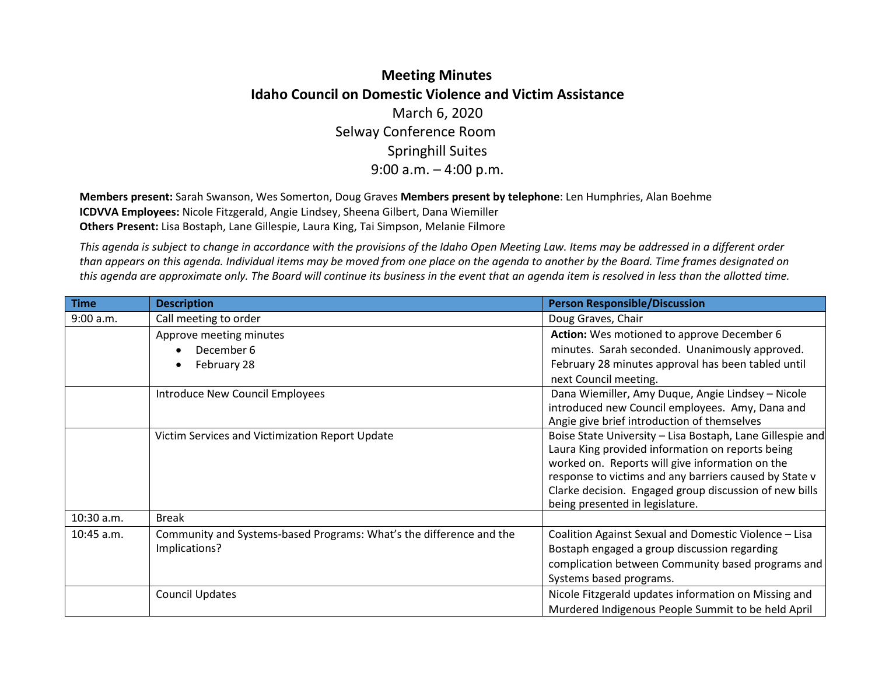## **Meeting Minutes Idaho Council on Domestic Violence and Victim Assistance**  March 6, 2020 Selway Conference Room Springhill Suites 9:00 a.m. – 4:00 p.m.

**Members present:** Sarah Swanson, Wes Somerton, Doug Graves **Members present by telephone**: Len Humphries, Alan Boehme **ICDVVA Employees:** Nicole Fitzgerald, Angie Lindsey, Sheena Gilbert, Dana Wiemiller **Others Present:** Lisa Bostaph, Lane Gillespie, Laura King, Tai Simpson, Melanie Filmore

*This agenda is subject to change in accordance with the provisions of the Idaho Open Meeting Law. Items may be addressed in a different order than appears on this agenda. Individual items may be moved from one place on the agenda to another by the Board. Time frames designated on this agenda are approximate only. The Board will continue its business in the event that an agenda item is resolved in less than the allotted time.* 

| <b>Time</b> | <b>Description</b>                                                  | <b>Person Responsible/Discussion</b>                                                                      |
|-------------|---------------------------------------------------------------------|-----------------------------------------------------------------------------------------------------------|
| 9:00 a.m.   | Call meeting to order                                               | Doug Graves, Chair                                                                                        |
|             | Approve meeting minutes                                             | Action: Wes motioned to approve December 6                                                                |
|             | December 6                                                          | minutes. Sarah seconded. Unanimously approved.                                                            |
|             | February 28                                                         | February 28 minutes approval has been tabled until                                                        |
|             |                                                                     | next Council meeting.                                                                                     |
|             | Introduce New Council Employees                                     | Dana Wiemiller, Amy Duque, Angie Lindsey - Nicole                                                         |
|             |                                                                     | introduced new Council employees. Amy, Dana and                                                           |
|             |                                                                     | Angie give brief introduction of themselves                                                               |
|             | Victim Services and Victimization Report Update                     | Boise State University - Lisa Bostaph, Lane Gillespie and                                                 |
|             |                                                                     | Laura King provided information on reports being                                                          |
|             |                                                                     | worked on. Reports will give information on the<br>response to victims and any barriers caused by State v |
|             |                                                                     | Clarke decision. Engaged group discussion of new bills                                                    |
|             |                                                                     | being presented in legislature.                                                                           |
| 10:30 a.m.  | <b>Break</b>                                                        |                                                                                                           |
| 10:45 a.m.  | Community and Systems-based Programs: What's the difference and the | Coalition Against Sexual and Domestic Violence - Lisa                                                     |
|             | Implications?                                                       | Bostaph engaged a group discussion regarding                                                              |
|             |                                                                     | complication between Community based programs and                                                         |
|             |                                                                     | Systems based programs.                                                                                   |
|             | <b>Council Updates</b>                                              | Nicole Fitzgerald updates information on Missing and                                                      |
|             |                                                                     | Murdered Indigenous People Summit to be held April                                                        |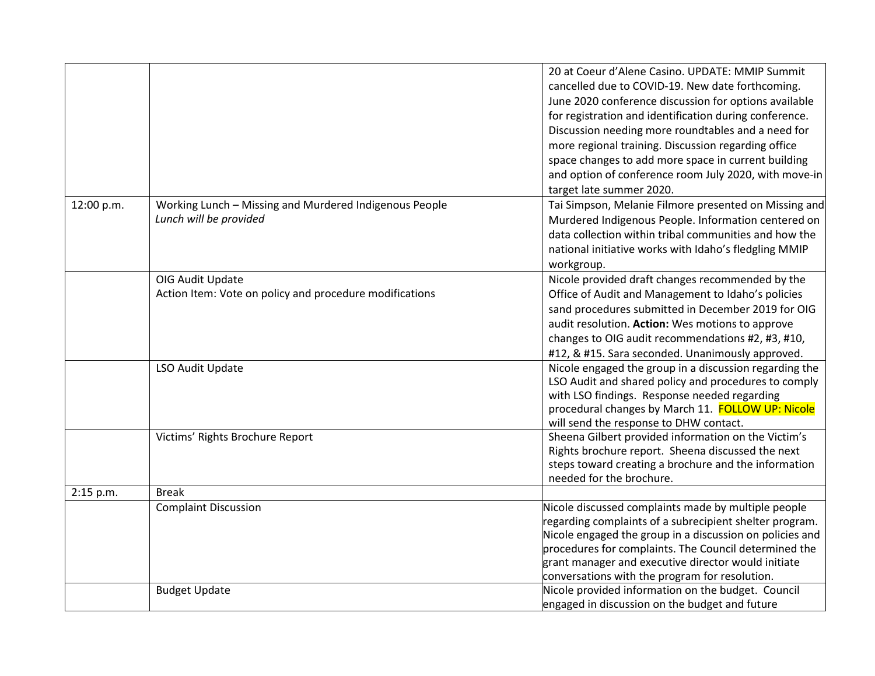|            |                                                         | 20 at Coeur d'Alene Casino. UPDATE: MMIP Summit                                                           |
|------------|---------------------------------------------------------|-----------------------------------------------------------------------------------------------------------|
|            |                                                         | cancelled due to COVID-19. New date forthcoming.                                                          |
|            |                                                         | June 2020 conference discussion for options available                                                     |
|            |                                                         | for registration and identification during conference.                                                    |
|            |                                                         | Discussion needing more roundtables and a need for                                                        |
|            |                                                         | more regional training. Discussion regarding office                                                       |
|            |                                                         | space changes to add more space in current building                                                       |
|            |                                                         | and option of conference room July 2020, with move-in                                                     |
|            |                                                         | target late summer 2020.                                                                                  |
| 12:00 p.m. | Working Lunch - Missing and Murdered Indigenous People  | Tai Simpson, Melanie Filmore presented on Missing and                                                     |
|            | Lunch will be provided                                  | Murdered Indigenous People. Information centered on                                                       |
|            |                                                         | data collection within tribal communities and how the                                                     |
|            |                                                         | national initiative works with Idaho's fledgling MMIP                                                     |
|            |                                                         |                                                                                                           |
|            |                                                         | workgroup.                                                                                                |
|            | OIG Audit Update                                        | Nicole provided draft changes recommended by the                                                          |
|            | Action Item: Vote on policy and procedure modifications | Office of Audit and Management to Idaho's policies                                                        |
|            |                                                         | sand procedures submitted in December 2019 for OIG                                                        |
|            |                                                         | audit resolution. Action: Wes motions to approve                                                          |
|            |                                                         | changes to OIG audit recommendations #2, #3, #10,                                                         |
|            |                                                         | #12, & #15. Sara seconded. Unanimously approved.                                                          |
|            | LSO Audit Update                                        | Nicole engaged the group in a discussion regarding the                                                    |
|            |                                                         | LSO Audit and shared policy and procedures to comply                                                      |
|            |                                                         | with LSO findings. Response needed regarding                                                              |
|            |                                                         | procedural changes by March 11. FOLLOW UP: Nicole                                                         |
|            |                                                         | will send the response to DHW contact.                                                                    |
|            | Victims' Rights Brochure Report                         | Sheena Gilbert provided information on the Victim's                                                       |
|            |                                                         | Rights brochure report. Sheena discussed the next<br>steps toward creating a brochure and the information |
|            |                                                         | needed for the brochure.                                                                                  |
| 2:15 p.m.  | <b>Break</b>                                            |                                                                                                           |
|            | <b>Complaint Discussion</b>                             | Nicole discussed complaints made by multiple people                                                       |
|            |                                                         | regarding complaints of a subrecipient shelter program.                                                   |
|            |                                                         | Nicole engaged the group in a discussion on policies and                                                  |
|            |                                                         | procedures for complaints. The Council determined the                                                     |
|            |                                                         | grant manager and executive director would initiate                                                       |
|            |                                                         | conversations with the program for resolution.                                                            |
|            | <b>Budget Update</b>                                    | Nicole provided information on the budget. Council                                                        |
|            |                                                         | engaged in discussion on the budget and future                                                            |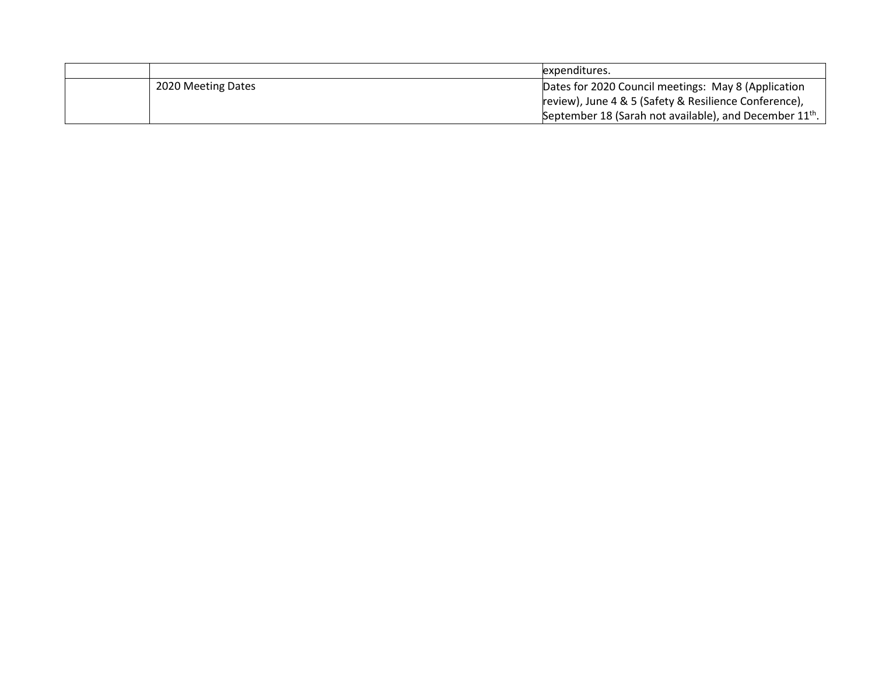|                    | expenditures.                                                       |
|--------------------|---------------------------------------------------------------------|
| 2020 Meeting Dates | Dates for 2020 Council meetings: May 8 (Application                 |
|                    | review), June 4 & 5 (Safety & Resilience Conference),               |
|                    | September 18 (Sarah not available), and December 11 <sup>th</sup> . |